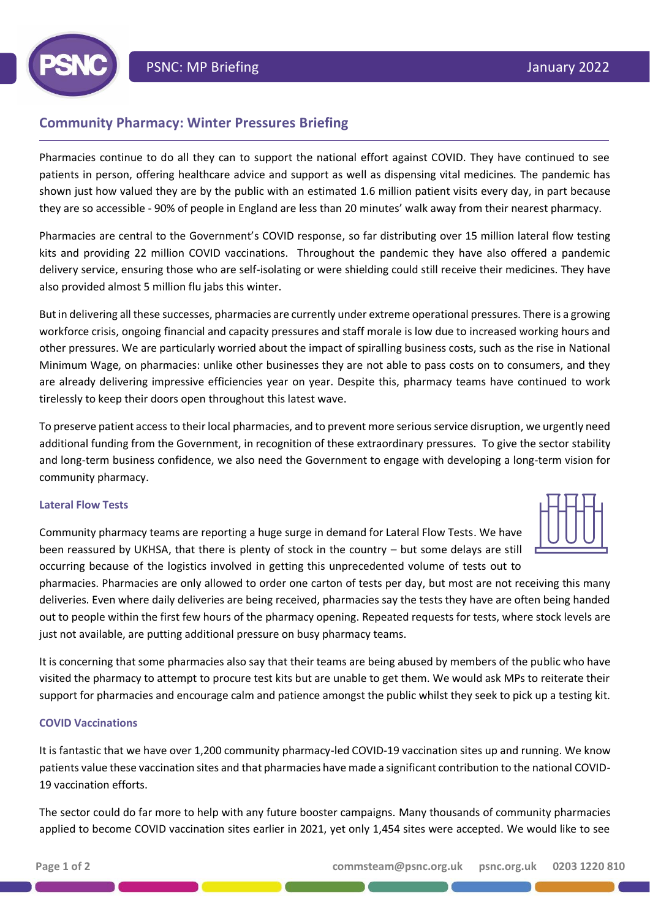# **Community Pharmacy: Winter Pressures Briefing**

Pharmacies continue to do all they can to support the national effort against COVID. They have continued to see patients in person, offering healthcare advice and support as well as dispensing vital medicines. The pandemic has shown just how valued they are by the public with an estimated 1.6 million patient visits every day, in part because they are so accessible - 90% of people in England are less than 20 minutes' walk away from their nearest pharmacy.

Pharmacies are central to the Government's COVID response, so far distributing over 15 million lateral flow testing kits and providing 22 million COVID vaccinations. Throughout the pandemic they have also offered a pandemic delivery service, ensuring those who are self-isolating or were shielding could still receive their medicines. They have also provided almost 5 million flu jabs this winter.

But in delivering all these successes, pharmacies are currently under extreme operational pressures. There is a growing workforce crisis, ongoing financial and capacity pressures and staff morale is low due to increased working hours and other pressures. We are particularly worried about the impact of spiralling business costs, such as the rise in National Minimum Wage, on pharmacies: unlike other businesses they are not able to pass costs on to consumers, and they are already delivering impressive efficiencies year on year. Despite this, pharmacy teams have continued to work tirelessly to keep their doors open throughout this latest wave.

To preserve patient access to their local pharmacies, and to prevent more serious service disruption, we urgently need additional funding from the Government, in recognition of these extraordinary pressures. To give the sector stability and long-term business confidence, we also need the Government to engage with developing a long-term vision for community pharmacy.

## **Lateral Flow Tests**

Community pharmacy teams are reporting a huge surge in demand for Lateral Flow Tests. We have been reassured by UKHSA, that there is plenty of stock in the country – but some delays are still occurring because of the logistics involved in getting this unprecedented volume of tests out to

pharmacies. Pharmacies are only allowed to order one carton of tests per day, but most are not receiving this many deliveries. Even where daily deliveries are being received, pharmacies say the tests they have are often being handed out to people within the first few hours of the pharmacy opening. Repeated requests for tests, where stock levels are just not available, are putting additional pressure on busy pharmacy teams.

It is concerning that some pharmacies also say that their teams are being abused by members of the public who have visited the pharmacy to attempt to procure test kits but are unable to get them. We would ask MPs to reiterate their support for pharmacies and encourage calm and patience amongst the public whilst they seek to pick up a testing kit.

## **COVID Vaccinations**

It is fantastic that we have over 1,200 community pharmacy-led COVID-19 vaccination sites up and running. We know patients value these vaccination sites and that pharmacies have made a significant contribution to the national COVID-19 vaccination efforts.

The sector could do far more to help with any future booster campaigns. Many thousands of community pharmacies applied to become COVID vaccination sites earlier in 2021, yet only 1,454 sites were accepted. We would like to see